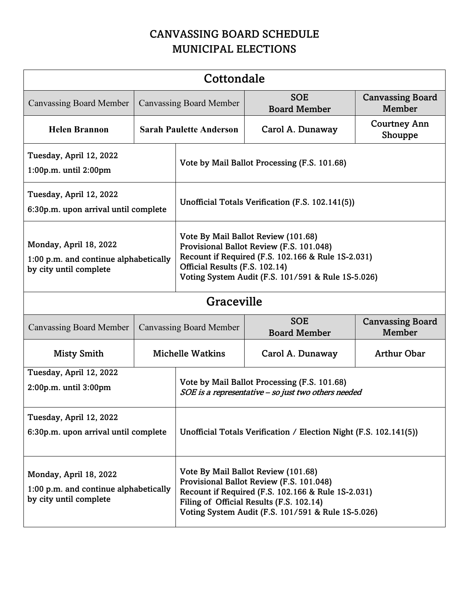## CANVASSING BOARD SCHEDULE MUNICIPAL ELECTIONS

| Cottondale                                                                                |                                |                                                                                                                                                                                                                                         |                                   |                                          |  |  |  |
|-------------------------------------------------------------------------------------------|--------------------------------|-----------------------------------------------------------------------------------------------------------------------------------------------------------------------------------------------------------------------------------------|-----------------------------------|------------------------------------------|--|--|--|
| <b>Canvassing Board Member</b>                                                            | <b>Canvassing Board Member</b> |                                                                                                                                                                                                                                         | <b>SOE</b><br><b>Board Member</b> | <b>Canvassing Board</b><br>Member        |  |  |  |
| <b>Helen Brannon</b>                                                                      | <b>Sarah Paulette Anderson</b> |                                                                                                                                                                                                                                         | Carol A. Dunaway                  | <b>Courtney Ann</b><br>Shouppe           |  |  |  |
| Tuesday, April 12, 2022<br>1:00p.m. until 2:00pm                                          |                                | Vote by Mail Ballot Processing (F.S. 101.68)                                                                                                                                                                                            |                                   |                                          |  |  |  |
| Tuesday, April 12, 2022<br>6:30p.m. upon arrival until complete                           |                                | Unofficial Totals Verification (F.S. 102.141(5))                                                                                                                                                                                        |                                   |                                          |  |  |  |
| Monday, April 18, 2022<br>1:00 p.m. and continue alphabetically<br>by city until complete |                                | Vote By Mail Ballot Review (101.68)<br>Provisional Ballot Review (F.S. 101.048)<br>Recount if Required (F.S. 102.166 & Rule 1S-2.031)<br>Official Results (F.S. 102.14)<br>Voting System Audit (F.S. 101/591 & Rule 1S-5.026)           |                                   |                                          |  |  |  |
| Graceville                                                                                |                                |                                                                                                                                                                                                                                         |                                   |                                          |  |  |  |
| <b>Canvassing Board Member</b>                                                            | <b>Canvassing Board Member</b> |                                                                                                                                                                                                                                         | <b>SOE</b><br><b>Board Member</b> | <b>Canvassing Board</b><br><b>Member</b> |  |  |  |
| <b>Misty Smith</b>                                                                        | <b>Michelle Watkins</b>        |                                                                                                                                                                                                                                         | Carol A. Dunaway                  | <b>Arthur Obar</b>                       |  |  |  |
| Tuesday, April 12, 2022<br>2:00p.m. until 3:00pm                                          |                                | Vote by Mail Ballot Processing (F.S. 101.68)<br>SOE is a representative - so just two others needed                                                                                                                                     |                                   |                                          |  |  |  |
| Tuesday, April 12, 2022<br>6:30p.m. upon arrival until complete                           |                                | Unofficial Totals Verification / Election Night (F.S. 102.141(5))                                                                                                                                                                       |                                   |                                          |  |  |  |
| Monday, April 18, 2022<br>1:00 p.m. and continue alphabetically<br>by city until complete |                                | Vote By Mail Ballot Review (101.68)<br>Provisional Ballot Review (F.S. 101.048)<br>Recount if Required (F.S. 102.166 & Rule 1S-2.031)<br>Filing of Official Results (F.S. 102.14)<br>Voting System Audit (F.S. 101/591 & Rule 1S-5.026) |                                   |                                          |  |  |  |